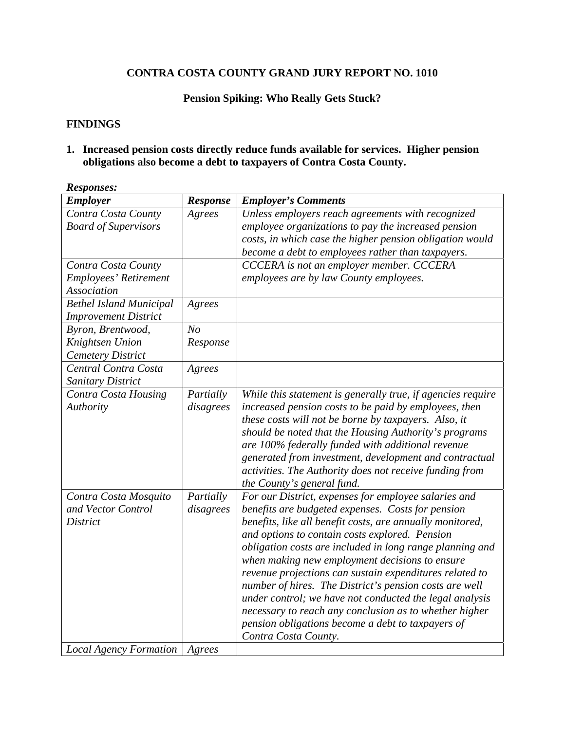## **CONTRA COSTA COUNTY GRAND JURY REPORT NO. 1010**

# **Pension Spiking: Who Really Gets Stuck?**

### **FINDINGS**

**1. Increased pension costs directly reduce funds available for services. Higher pension obligations also become a debt to taxpayers of Contra Costa County.** 

| <b>Responses:</b>                                                |                            |                                                                                                                                                                                                                                                                                                                                                                                                                                                                                                                                                                                                                                                               |
|------------------------------------------------------------------|----------------------------|---------------------------------------------------------------------------------------------------------------------------------------------------------------------------------------------------------------------------------------------------------------------------------------------------------------------------------------------------------------------------------------------------------------------------------------------------------------------------------------------------------------------------------------------------------------------------------------------------------------------------------------------------------------|
| <b>Employer</b>                                                  | Response                   | <b>Employer's Comments</b>                                                                                                                                                                                                                                                                                                                                                                                                                                                                                                                                                                                                                                    |
| Contra Costa County<br><b>Board of Supervisors</b>               | Agrees                     | Unless employers reach agreements with recognized<br>employee organizations to pay the increased pension<br>costs, in which case the higher pension obligation would<br>become a debt to employees rather than taxpayers.                                                                                                                                                                                                                                                                                                                                                                                                                                     |
| Contra Costa County<br>Employees' Retirement<br>Association      |                            | CCCERA is not an employer member. CCCERA<br>employees are by law County employees.                                                                                                                                                                                                                                                                                                                                                                                                                                                                                                                                                                            |
| <b>Bethel Island Municipal</b><br><b>Improvement District</b>    | Agrees                     |                                                                                                                                                                                                                                                                                                                                                                                                                                                                                                                                                                                                                                                               |
| Byron, Brentwood,<br>Knightsen Union<br><b>Cemetery District</b> | N <sub>O</sub><br>Response |                                                                                                                                                                                                                                                                                                                                                                                                                                                                                                                                                                                                                                                               |
| Central Contra Costa<br><b>Sanitary District</b>                 | Agrees                     |                                                                                                                                                                                                                                                                                                                                                                                                                                                                                                                                                                                                                                                               |
| Contra Costa Housing<br>Authority                                | Partially<br>disagrees     | While this statement is generally true, if agencies require<br>increased pension costs to be paid by employees, then<br>these costs will not be borne by taxpayers. Also, it<br>should be noted that the Housing Authority's programs<br>are 100% federally funded with additional revenue<br>generated from investment, development and contractual<br>activities. The Authority does not receive funding from<br>the County's general fund.                                                                                                                                                                                                                 |
| Contra Costa Mosquito<br>and Vector Control<br><b>District</b>   | Partially<br>disagrees     | For our District, expenses for employee salaries and<br>benefits are budgeted expenses. Costs for pension<br>benefits, like all benefit costs, are annually monitored,<br>and options to contain costs explored. Pension<br>obligation costs are included in long range planning and<br>when making new employment decisions to ensure<br>revenue projections can sustain expenditures related to<br>number of hires. The District's pension costs are well<br>under control; we have not conducted the legal analysis<br>necessary to reach any conclusion as to whether higher<br>pension obligations become a debt to taxpayers of<br>Contra Costa County. |
| <b>Local Agency Formation</b>                                    | Agrees                     |                                                                                                                                                                                                                                                                                                                                                                                                                                                                                                                                                                                                                                                               |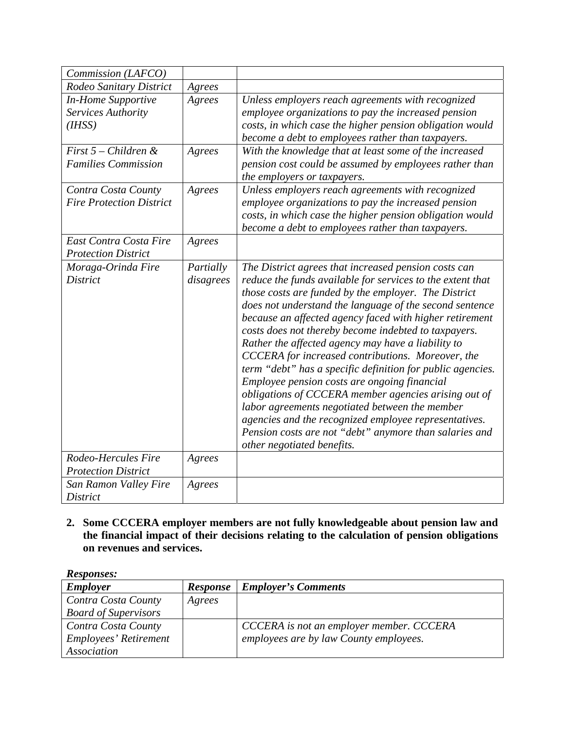| Commission (LAFCO)                                                     |                        |                                                                                                                                                                                                                                                                                                                                                                                                                                                                                                                                                                                                                                                                                                                                                                                                                                              |
|------------------------------------------------------------------------|------------------------|----------------------------------------------------------------------------------------------------------------------------------------------------------------------------------------------------------------------------------------------------------------------------------------------------------------------------------------------------------------------------------------------------------------------------------------------------------------------------------------------------------------------------------------------------------------------------------------------------------------------------------------------------------------------------------------------------------------------------------------------------------------------------------------------------------------------------------------------|
| Rodeo Sanitary District                                                | Agrees                 |                                                                                                                                                                                                                                                                                                                                                                                                                                                                                                                                                                                                                                                                                                                                                                                                                                              |
| <b>In-Home Supportive</b><br>Services Authority<br>(H <sub>ISS</sub> ) | Agrees                 | Unless employers reach agreements with recognized<br>employee organizations to pay the increased pension<br>costs, in which case the higher pension obligation would<br>become a debt to employees rather than taxpayers.                                                                                                                                                                                                                                                                                                                                                                                                                                                                                                                                                                                                                    |
| First $5$ – Children &<br><b>Families Commission</b>                   | Agrees                 | With the knowledge that at least some of the increased<br>pension cost could be assumed by employees rather than<br>the employers or taxpayers.                                                                                                                                                                                                                                                                                                                                                                                                                                                                                                                                                                                                                                                                                              |
| Contra Costa County<br><b>Fire Protection District</b>                 | Agrees                 | Unless employers reach agreements with recognized<br>employee organizations to pay the increased pension<br>costs, in which case the higher pension obligation would<br>become a debt to employees rather than taxpayers.                                                                                                                                                                                                                                                                                                                                                                                                                                                                                                                                                                                                                    |
| East Contra Costa Fire<br><b>Protection District</b>                   | Agrees                 |                                                                                                                                                                                                                                                                                                                                                                                                                                                                                                                                                                                                                                                                                                                                                                                                                                              |
| Moraga-Orinda Fire<br><b>District</b>                                  | Partially<br>disagrees | The District agrees that increased pension costs can<br>reduce the funds available for services to the extent that<br>those costs are funded by the employer. The District<br>does not understand the language of the second sentence<br>because an affected agency faced with higher retirement<br>costs does not thereby become indebted to taxpayers.<br>Rather the affected agency may have a liability to<br>CCCERA for increased contributions. Moreover, the<br>term "debt" has a specific definition for public agencies.<br>Employee pension costs are ongoing financial<br>obligations of CCCERA member agencies arising out of<br>labor agreements negotiated between the member<br>agencies and the recognized employee representatives.<br>Pension costs are not "debt" anymore than salaries and<br>other negotiated benefits. |
| Rodeo-Hercules Fire<br><b>Protection District</b>                      | Agrees                 |                                                                                                                                                                                                                                                                                                                                                                                                                                                                                                                                                                                                                                                                                                                                                                                                                                              |
| San Ramon Valley Fire<br>District                                      | Agrees                 |                                                                                                                                                                                                                                                                                                                                                                                                                                                                                                                                                                                                                                                                                                                                                                                                                                              |

**2. Some CCCERA employer members are not fully knowledgeable about pension law and the financial impact of their decisions relating to the calculation of pension obligations on revenues and services.** 

| <b>Responses:</b>            |                 |                                          |
|------------------------------|-----------------|------------------------------------------|
| <b>Employer</b>              | <b>Response</b> | <b>Employer's Comments</b>               |
| Contra Costa County          | Agrees          |                                          |
| <b>Board of Supervisors</b>  |                 |                                          |
| Contra Costa County          |                 | CCCERA is not an employer member. CCCERA |
| <b>Employees' Retirement</b> |                 | employees are by law County employees.   |
| <b>Association</b>           |                 |                                          |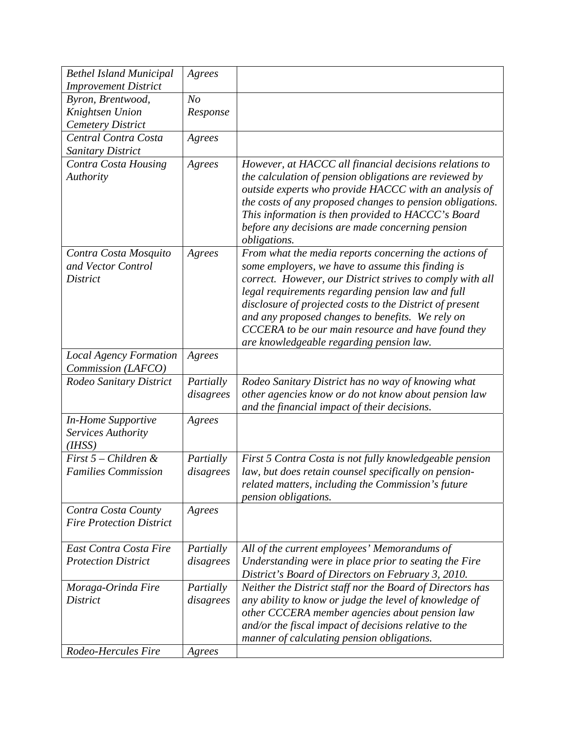| <b>Bethel Island Municipal</b><br><b>Improvement District</b>          | Agrees                 |                                                                                                                                                                                                                                                                                                                                                                                                                                                |
|------------------------------------------------------------------------|------------------------|------------------------------------------------------------------------------------------------------------------------------------------------------------------------------------------------------------------------------------------------------------------------------------------------------------------------------------------------------------------------------------------------------------------------------------------------|
| Byron, Brentwood,                                                      | N <sub>O</sub>         |                                                                                                                                                                                                                                                                                                                                                                                                                                                |
| Knightsen Union                                                        | Response               |                                                                                                                                                                                                                                                                                                                                                                                                                                                |
| <b>Cemetery District</b>                                               |                        |                                                                                                                                                                                                                                                                                                                                                                                                                                                |
| Central Contra Costa                                                   | Agrees                 |                                                                                                                                                                                                                                                                                                                                                                                                                                                |
| <b>Sanitary District</b>                                               |                        |                                                                                                                                                                                                                                                                                                                                                                                                                                                |
| Contra Costa Housing<br>Authority                                      | Agrees                 | However, at HACCC all financial decisions relations to<br>the calculation of pension obligations are reviewed by<br>outside experts who provide HACCC with an analysis of<br>the costs of any proposed changes to pension obligations.<br>This information is then provided to HACCC's Board<br>before any decisions are made concerning pension                                                                                               |
|                                                                        |                        | obligations.                                                                                                                                                                                                                                                                                                                                                                                                                                   |
| Contra Costa Mosquito<br>and Vector Control<br><b>District</b>         | Agrees                 | From what the media reports concerning the actions of<br>some employers, we have to assume this finding is<br>correct. However, our District strives to comply with all<br>legal requirements regarding pension law and full<br>disclosure of projected costs to the District of present<br>and any proposed changes to benefits. We rely on<br>CCCERA to be our main resource and have found they<br>are knowledgeable regarding pension law. |
| <b>Local Agency Formation</b><br>Commission (LAFCO)                    | Agrees                 |                                                                                                                                                                                                                                                                                                                                                                                                                                                |
| Rodeo Sanitary District                                                | Partially              | Rodeo Sanitary District has no way of knowing what                                                                                                                                                                                                                                                                                                                                                                                             |
|                                                                        | disagrees              | other agencies know or do not know about pension law<br>and the financial impact of their decisions.                                                                                                                                                                                                                                                                                                                                           |
| <b>In-Home Supportive</b><br>Services Authority<br>(H <sub>ISS</sub> ) | Agrees                 |                                                                                                                                                                                                                                                                                                                                                                                                                                                |
| First 5 - Children &<br><b>Families Commission</b>                     | Partially<br>disagrees | First 5 Contra Costa is not fully knowledgeable pension<br>law, but does retain counsel specifically on pension-<br>related matters, including the Commission's future<br><i>pension obligations.</i>                                                                                                                                                                                                                                          |
| Contra Costa County<br><b>Fire Protection District</b>                 | Agrees                 |                                                                                                                                                                                                                                                                                                                                                                                                                                                |
| East Contra Costa Fire<br><b>Protection District</b>                   | Partially<br>disagrees | All of the current employees' Memorandums of<br>Understanding were in place prior to seating the Fire<br>District's Board of Directors on February 3, 2010.                                                                                                                                                                                                                                                                                    |
| Moraga-Orinda Fire<br>District                                         | Partially<br>disagrees | Neither the District staff nor the Board of Directors has<br>any ability to know or judge the level of knowledge of<br>other CCCERA member agencies about pension law<br>and/or the fiscal impact of decisions relative to the<br>manner of calculating pension obligations.                                                                                                                                                                   |
| Rodeo-Hercules Fire                                                    | Agrees                 |                                                                                                                                                                                                                                                                                                                                                                                                                                                |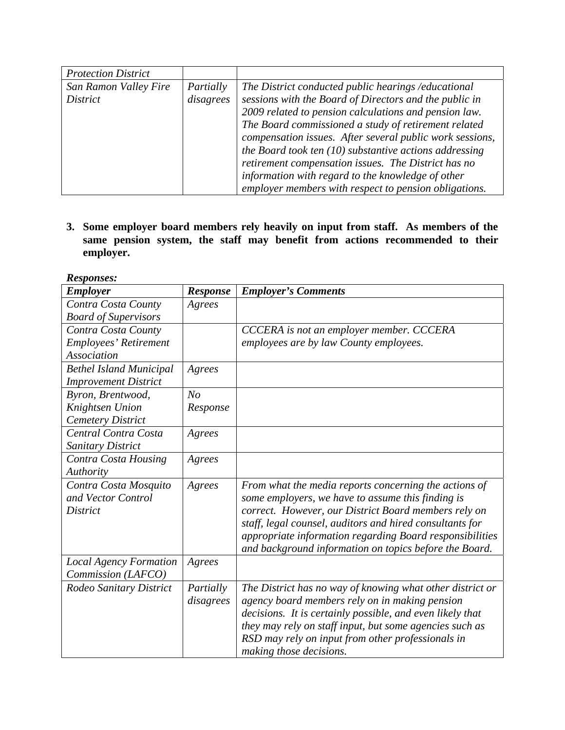| <b>Protection District</b>               |                        |                                                                                                                                                                                                                                                                                                                                                                                                                                                                                                                              |
|------------------------------------------|------------------------|------------------------------------------------------------------------------------------------------------------------------------------------------------------------------------------------------------------------------------------------------------------------------------------------------------------------------------------------------------------------------------------------------------------------------------------------------------------------------------------------------------------------------|
| San Ramon Valley Fire<br><i>District</i> | Partially<br>disagrees | The District conducted public hearings / educational<br>sessions with the Board of Directors and the public in<br>2009 related to pension calculations and pension law.<br>The Board commissioned a study of retirement related<br>compensation issues. After several public work sessions,<br>the Board took ten $(10)$ substantive actions addressing<br>retirement compensation issues. The District has no<br>information with regard to the knowledge of other<br>employer members with respect to pension obligations. |

**3. Some employer board members rely heavily on input from staff. As members of the same pension system, the staff may benefit from actions recommended to their employer.** 

| <b>Responses:</b>              |                 |                                                           |
|--------------------------------|-----------------|-----------------------------------------------------------|
| <b>Employer</b>                | <b>Response</b> | <b>Employer's Comments</b>                                |
| Contra Costa County            | Agrees          |                                                           |
| <b>Board of Supervisors</b>    |                 |                                                           |
| Contra Costa County            |                 | CCCERA is not an employer member. CCCERA                  |
| Employees' Retirement          |                 | employees are by law County employees.                    |
| Association                    |                 |                                                           |
| <b>Bethel Island Municipal</b> | Agrees          |                                                           |
| <b>Improvement District</b>    |                 |                                                           |
| Byron, Brentwood,              | N <sub>O</sub>  |                                                           |
| Knightsen Union                | Response        |                                                           |
| <b>Cemetery District</b>       |                 |                                                           |
| Central Contra Costa           | Agrees          |                                                           |
| <b>Sanitary District</b>       |                 |                                                           |
| Contra Costa Housing           | Agrees          |                                                           |
| Authority                      |                 |                                                           |
| Contra Costa Mosquito          | Agrees          | From what the media reports concerning the actions of     |
| and Vector Control             |                 | some employers, we have to assume this finding is         |
| <i>District</i>                |                 | correct. However, our District Board members rely on      |
|                                |                 | staff, legal counsel, auditors and hired consultants for  |
|                                |                 | appropriate information regarding Board responsibilities  |
|                                |                 | and background information on topics before the Board.    |
| <b>Local Agency Formation</b>  | Agrees          |                                                           |
| Commission (LAFCO)             |                 |                                                           |
| Rodeo Sanitary District        | Partially       | The District has no way of knowing what other district or |
|                                | disagrees       | agency board members rely on in making pension            |
|                                |                 | decisions. It is certainly possible, and even likely that |
|                                |                 | they may rely on staff input, but some agencies such as   |
|                                |                 | RSD may rely on input from other professionals in         |
|                                |                 | making those decisions.                                   |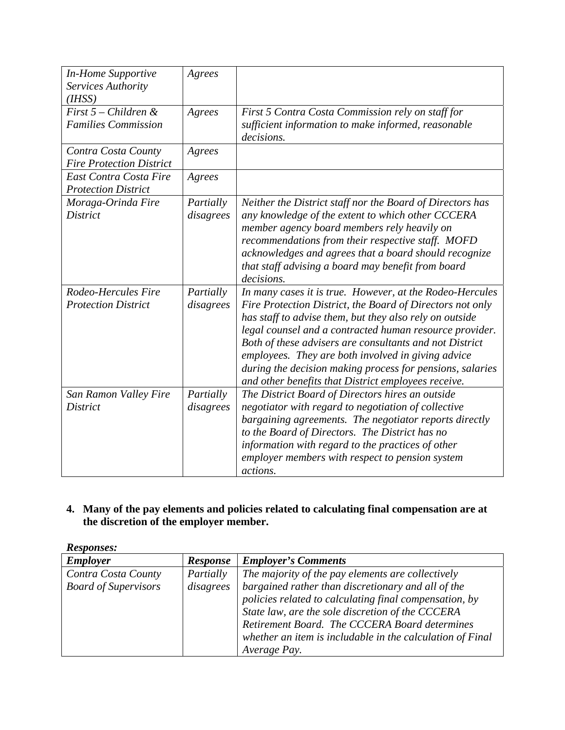| <b>In-Home Supportive</b><br>Services Authority<br>(IHSS) | Agrees                 |                                                                                                                                                                                                                                                                                                                                                                                                                                                                                  |
|-----------------------------------------------------------|------------------------|----------------------------------------------------------------------------------------------------------------------------------------------------------------------------------------------------------------------------------------------------------------------------------------------------------------------------------------------------------------------------------------------------------------------------------------------------------------------------------|
| First $5$ – Children &<br><b>Families Commission</b>      | Agrees                 | First 5 Contra Costa Commission rely on staff for<br>sufficient information to make informed, reasonable<br>decisions.                                                                                                                                                                                                                                                                                                                                                           |
| Contra Costa County<br><b>Fire Protection District</b>    | Agrees                 |                                                                                                                                                                                                                                                                                                                                                                                                                                                                                  |
| East Contra Costa Fire<br><b>Protection District</b>      | Agrees                 |                                                                                                                                                                                                                                                                                                                                                                                                                                                                                  |
| Moraga-Orinda Fire<br><i>District</i>                     | Partially<br>disagrees | Neither the District staff nor the Board of Directors has<br>any knowledge of the extent to which other CCCERA<br>member agency board members rely heavily on<br>recommendations from their respective staff. MOFD<br>acknowledges and agrees that a board should recognize<br>that staff advising a board may benefit from board<br>decisions.                                                                                                                                  |
| Rodeo-Hercules Fire<br><b>Protection District</b>         | Partially<br>disagrees | In many cases it is true. However, at the Rodeo-Hercules<br>Fire Protection District, the Board of Directors not only<br>has staff to advise them, but they also rely on outside<br>legal counsel and a contracted human resource provider.<br>Both of these advisers are consultants and not District<br>employees. They are both involved in giving advice<br>during the decision making process for pensions, salaries<br>and other benefits that District employees receive. |
| San Ramon Valley Fire<br><i>District</i>                  | Partially<br>disagrees | The District Board of Directors hires an outside<br>negotiator with regard to negotiation of collective<br>bargaining agreements. The negotiator reports directly<br>to the Board of Directors. The District has no<br>information with regard to the practices of other<br>employer members with respect to pension system<br>actions.                                                                                                                                          |

**4. Many of the pay elements and policies related to calculating final compensation are at the discretion of the employer member.** 

| <b>Employer</b>             | <b>Response</b> | <b>Employer's Comments</b>                                |
|-----------------------------|-----------------|-----------------------------------------------------------|
| Contra Costa County         | Partially       | The majority of the pay elements are collectively         |
| <b>Board of Supervisors</b> | disagrees       | bargained rather than discretionary and all of the        |
|                             |                 | policies related to calculating final compensation, by    |
|                             |                 | State law, are the sole discretion of the CCCERA          |
|                             |                 | Retirement Board. The CCCERA Board determines             |
|                             |                 | whether an item is includable in the calculation of Final |
|                             |                 | Average Pay.                                              |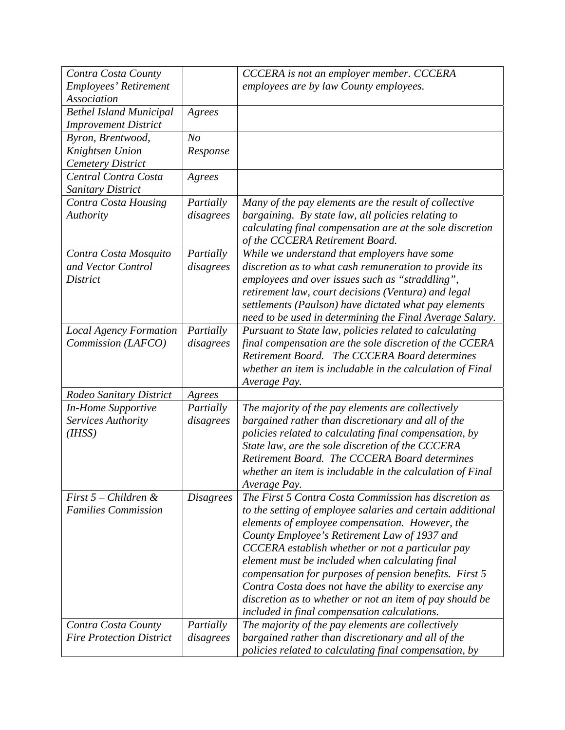| Contra Costa County                 |                  | CCCERA is not an employer member. CCCERA                   |
|-------------------------------------|------------------|------------------------------------------------------------|
| Employees' Retirement               |                  | employees are by law County employees.                     |
| <b>Association</b>                  |                  |                                                            |
| <b>Bethel Island Municipal</b>      | Agrees           |                                                            |
| <b>Improvement District</b>         |                  |                                                            |
| N <sub>O</sub><br>Byron, Brentwood, |                  |                                                            |
| Knightsen Union                     | Response         |                                                            |
| <b>Cemetery District</b>            |                  |                                                            |
| Central Contra Costa                | Agrees           |                                                            |
| <b>Sanitary District</b>            |                  |                                                            |
| Contra Costa Housing                | Partially        | Many of the pay elements are the result of collective      |
| Authority                           | disagrees        | bargaining. By state law, all policies relating to         |
|                                     |                  | calculating final compensation are at the sole discretion  |
|                                     |                  | of the CCCERA Retirement Board.                            |
| Contra Costa Mosquito               | Partially        | While we understand that employers have some               |
| and Vector Control                  | disagrees        | discretion as to what cash remuneration to provide its     |
| <b>District</b>                     |                  | employees and over issues such as "straddling",            |
|                                     |                  | retirement law, court decisions (Ventura) and legal        |
|                                     |                  | settlements (Paulson) have dictated what pay elements      |
|                                     |                  | need to be used in determining the Final Average Salary.   |
| <b>Local Agency Formation</b>       | Partially        | Pursuant to State law, policies related to calculating     |
| Commission (LAFCO)                  | disagrees        | final compensation are the sole discretion of the CCERA    |
|                                     |                  | Retirement Board. The CCCERA Board determines              |
|                                     |                  | whether an item is includable in the calculation of Final  |
|                                     |                  | Average Pay.                                               |
| Rodeo Sanitary District             | Agrees           |                                                            |
| <b>In-Home Supportive</b>           | Partially        | The majority of the pay elements are collectively          |
| Services Authority                  | disagrees        | bargained rather than discretionary and all of the         |
| (H <sub>ISS</sub> )                 |                  | policies related to calculating final compensation, by     |
|                                     |                  | State law, are the sole discretion of the CCCERA           |
|                                     |                  | Retirement Board. The CCCERA Board determines              |
|                                     |                  | whether an item is includable in the calculation of Final  |
|                                     |                  | Average Pay.                                               |
| First $5$ – Children &              | <b>Disagrees</b> | The First 5 Contra Costa Commission has discretion as      |
| <b>Families Commission</b>          |                  | to the setting of employee salaries and certain additional |
|                                     |                  | elements of employee compensation. However, the            |
|                                     |                  | County Employee's Retirement Law of 1937 and               |
|                                     |                  | CCCERA establish whether or not a particular pay           |
|                                     |                  | element must be included when calculating final            |
|                                     |                  | compensation for purposes of pension benefits. First 5     |
|                                     |                  | Contra Costa does not have the ability to exercise any     |
|                                     |                  | discretion as to whether or not an item of pay should be   |
|                                     |                  | included in final compensation calculations.               |
| Contra Costa County                 | Partially        | The majority of the pay elements are collectively          |
| <b>Fire Protection District</b>     | disagrees        | bargained rather than discretionary and all of the         |
|                                     |                  |                                                            |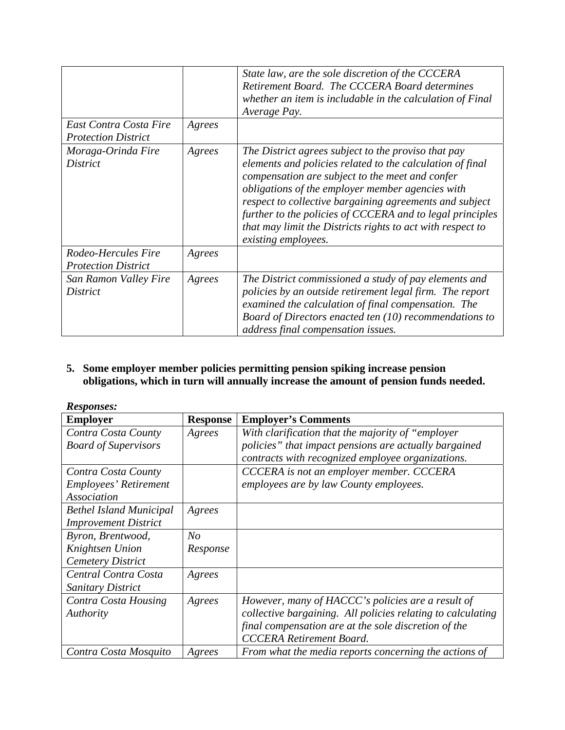|                                                      |        | State law, are the sole discretion of the CCCERA<br>Retirement Board. The CCCERA Board determines<br>whether an item is includable in the calculation of Final<br>Average Pay.                                                                                                                                                                                                                                                       |
|------------------------------------------------------|--------|--------------------------------------------------------------------------------------------------------------------------------------------------------------------------------------------------------------------------------------------------------------------------------------------------------------------------------------------------------------------------------------------------------------------------------------|
| East Contra Costa Fire<br><b>Protection District</b> | Agrees |                                                                                                                                                                                                                                                                                                                                                                                                                                      |
| Moraga-Orinda Fire<br>District                       | Agrees | The District agrees subject to the proviso that pay<br>elements and policies related to the calculation of final<br>compensation are subject to the meet and confer<br>obligations of the employer member agencies with<br>respect to collective bargaining agreements and subject<br>further to the policies of CCCERA and to legal principles<br>that may limit the Districts rights to act with respect to<br>existing employees. |
| Rodeo-Hercules Fire<br><b>Protection District</b>    | Agrees |                                                                                                                                                                                                                                                                                                                                                                                                                                      |
| San Ramon Valley Fire<br><i>District</i>             | Agrees | The District commissioned a study of pay elements and<br>policies by an outside retirement legal firm. The report<br>examined the calculation of final compensation. The<br>Board of Directors enacted ten (10) recommendations to<br>address final compensation issues.                                                                                                                                                             |

**5. Some employer member policies permitting pension spiking increase pension obligations, which in turn will annually increase the amount of pension funds needed.** 

| Responses:                                                         |                            |                                                                                                                                                                                                             |
|--------------------------------------------------------------------|----------------------------|-------------------------------------------------------------------------------------------------------------------------------------------------------------------------------------------------------------|
| <b>Employer</b>                                                    | <b>Response</b>            | <b>Employer's Comments</b>                                                                                                                                                                                  |
| Contra Costa County<br><b>Board of Supervisors</b>                 | Agrees                     | With clarification that the majority of "employer"<br>policies" that impact pensions are actually bargained<br>contracts with recognized employee organizations.                                            |
| Contra Costa County<br>Employees' Retirement<br><b>Association</b> |                            | CCCERA is not an employer member. CCCERA<br>employees are by law County employees.                                                                                                                          |
| <b>Bethel Island Municipal</b><br><b>Improvement District</b>      | Agrees                     |                                                                                                                                                                                                             |
| Byron, Brentwood,<br>Knightsen Union<br><b>Cemetery District</b>   | N <sub>O</sub><br>Response |                                                                                                                                                                                                             |
| Central Contra Costa<br><b>Sanitary District</b>                   | Agrees                     |                                                                                                                                                                                                             |
| Contra Costa Housing<br><i>Authority</i>                           | Agrees                     | However, many of HACCC's policies are a result of<br>collective bargaining. All policies relating to calculating<br>final compensation are at the sole discretion of the<br><b>CCCERA</b> Retirement Board. |
| Contra Costa Mosquito                                              | Agrees                     | From what the media reports concerning the actions of                                                                                                                                                       |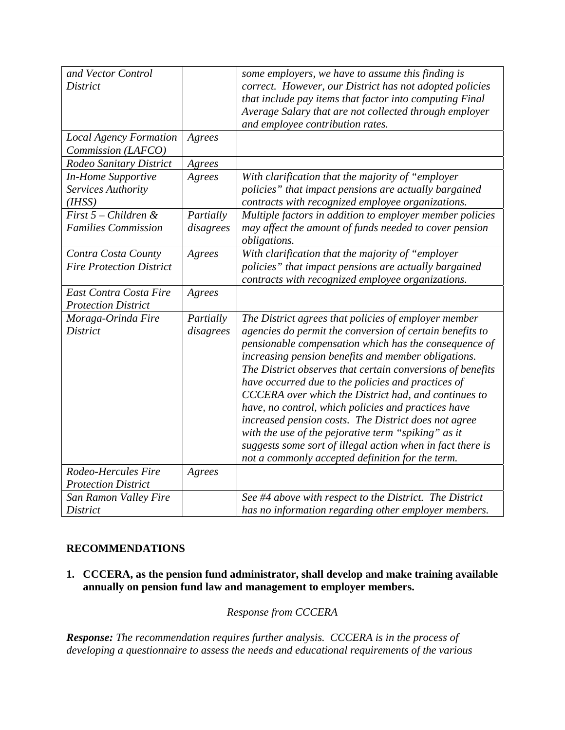| and Vector Control              |           | some employers, we have to assume this finding is                             |
|---------------------------------|-----------|-------------------------------------------------------------------------------|
| <b>District</b>                 |           | correct. However, our District has not adopted policies                       |
|                                 |           | that include pay items that factor into computing Final                       |
|                                 |           | Average Salary that are not collected through employer                        |
|                                 |           | and employee contribution rates.                                              |
| <b>Local Agency Formation</b>   | Agrees    |                                                                               |
| Commission (LAFCO)              |           |                                                                               |
| Rodeo Sanitary District         | Agrees    |                                                                               |
| <b>In-Home Supportive</b>       | Agrees    | With clarification that the majority of "employer                             |
| Services Authority              |           | policies" that impact pensions are actually bargained                         |
| (H <sub>ISS</sub> )             |           | contracts with recognized employee organizations.                             |
| First $5$ – Children &          | Partially | Multiple factors in addition to employer member policies                      |
| <b>Families Commission</b>      | disagrees | may affect the amount of funds needed to cover pension<br><i>obligations.</i> |
| Contra Costa County             | Agrees    | With clarification that the majority of "employer                             |
| <b>Fire Protection District</b> |           | policies" that impact pensions are actually bargained                         |
|                                 |           | contracts with recognized employee organizations.                             |
| East Contra Costa Fire          | Agrees    |                                                                               |
| <b>Protection District</b>      |           |                                                                               |
| Moraga-Orinda Fire              | Partially | The District agrees that policies of employer member                          |
| District                        | disagrees | agencies do permit the conversion of certain benefits to                      |
|                                 |           | pensionable compensation which has the consequence of                         |
|                                 |           | increasing pension benefits and member obligations.                           |
|                                 |           | The District observes that certain conversions of benefits                    |
|                                 |           | have occurred due to the policies and practices of                            |
|                                 |           | CCCERA over which the District had, and continues to                          |
|                                 |           | have, no control, which policies and practices have                           |
|                                 |           | increased pension costs. The District does not agree                          |
|                                 |           | with the use of the pejorative term "spiking" as it                           |
|                                 |           | suggests some sort of illegal action when in fact there is                    |
|                                 |           | not a commonly accepted definition for the term.                              |
| Rodeo-Hercules Fire             | Agrees    |                                                                               |
| <b>Protection District</b>      |           |                                                                               |
| San Ramon Valley Fire           |           | See #4 above with respect to the District. The District                       |
| <b>District</b>                 |           | has no information regarding other employer members.                          |

# **RECOMMENDATIONS**

**1. CCCERA, as the pension fund administrator, shall develop and make training available annually on pension fund law and management to employer members.** 

*Response from CCCERA* 

*Response: The recommendation requires further analysis. CCCERA is in the process of developing a questionnaire to assess the needs and educational requirements of the various*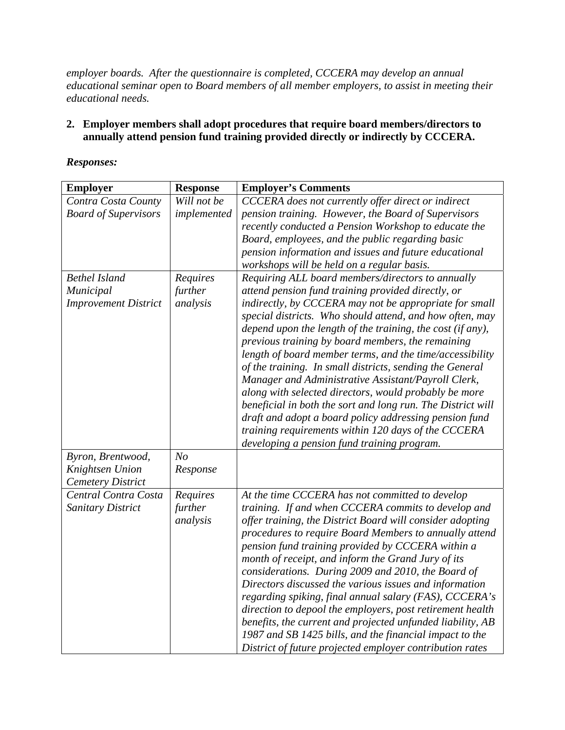*employer boards. After the questionnaire is completed, CCCERA may develop an annual educational seminar open to Board members of all member employers, to assist in meeting their educational needs.* 

# **2. Employer members shall adopt procedures that require board members/directors to annually attend pension fund training provided directly or indirectly by CCCERA.**

| <b>Employer</b>             | <b>Response</b> | <b>Employer's Comments</b>                                                                                             |
|-----------------------------|-----------------|------------------------------------------------------------------------------------------------------------------------|
| Contra Costa County         | Will not be     | CCCERA does not currently offer direct or indirect                                                                     |
| <b>Board of Supervisors</b> | implemented     | pension training. However, the Board of Supervisors                                                                    |
|                             |                 | recently conducted a Pension Workshop to educate the                                                                   |
|                             |                 | Board, employees, and the public regarding basic                                                                       |
|                             |                 | pension information and issues and future educational                                                                  |
|                             |                 | workshops will be held on a regular basis.                                                                             |
| <b>Bethel Island</b>        | Requires        | Requiring ALL board members/directors to annually                                                                      |
| Municipal                   | further         | attend pension fund training provided directly, or                                                                     |
| <b>Improvement District</b> | analysis        | indirectly, by CCCERA may not be appropriate for small                                                                 |
|                             |                 | special districts. Who should attend, and how often, may<br>depend upon the length of the training, the cost (if any), |
|                             |                 | previous training by board members, the remaining                                                                      |
|                             |                 | length of board member terms, and the time/accessibility                                                               |
|                             |                 | of the training. In small districts, sending the General                                                               |
|                             |                 | Manager and Administrative Assistant/Payroll Clerk,                                                                    |
|                             |                 | along with selected directors, would probably be more                                                                  |
|                             |                 | beneficial in both the sort and long run. The District will                                                            |
|                             |                 | draft and adopt a board policy addressing pension fund                                                                 |
|                             |                 | training requirements within 120 days of the CCCERA                                                                    |
|                             |                 | developing a pension fund training program.                                                                            |
| Byron, Brentwood,           | N <sub>O</sub>  |                                                                                                                        |
| Knightsen Union             | Response        |                                                                                                                        |
| <b>Cemetery District</b>    |                 |                                                                                                                        |
| Central Contra Costa        | Requires        | At the time CCCERA has not committed to develop                                                                        |
| <b>Sanitary District</b>    | further         | training. If and when CCCERA commits to develop and                                                                    |
|                             | analysis        | offer training, the District Board will consider adopting                                                              |
|                             |                 | procedures to require Board Members to annually attend<br>pension fund training provided by CCCERA within a            |
|                             |                 | month of receipt, and inform the Grand Jury of its                                                                     |
|                             |                 | considerations. During 2009 and 2010, the Board of                                                                     |
|                             |                 | Directors discussed the various issues and information                                                                 |
|                             |                 | regarding spiking, final annual salary (FAS), CCCERA's                                                                 |
|                             |                 | direction to depool the employers, post retirement health                                                              |
|                             |                 | benefits, the current and projected unfunded liability, AB                                                             |
|                             |                 | 1987 and SB 1425 bills, and the financial impact to the                                                                |
|                             |                 | District of future projected employer contribution rates                                                               |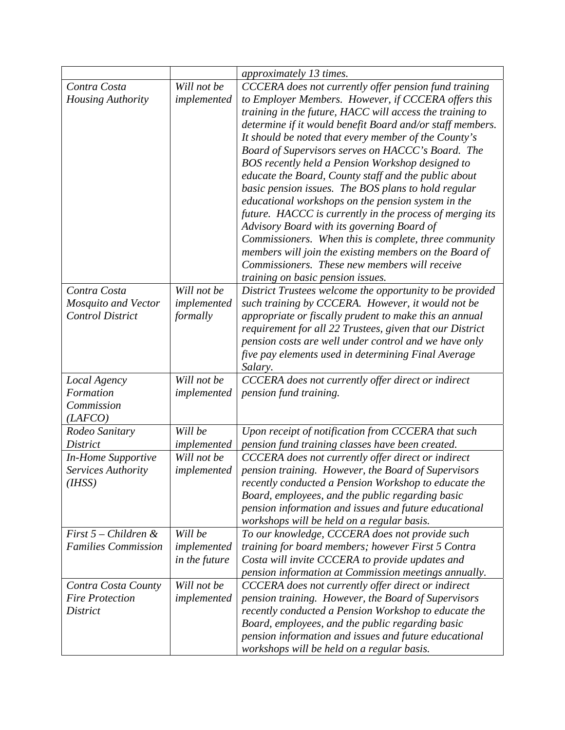|                            |               | approximately 13 times.                                                                                     |
|----------------------------|---------------|-------------------------------------------------------------------------------------------------------------|
| Contra Costa               | Will not be   | CCCERA does not currently offer pension fund training                                                       |
| <b>Housing Authority</b>   | implemented   | to Employer Members. However, if CCCERA offers this                                                         |
|                            |               | training in the future, HACC will access the training to                                                    |
|                            |               | determine if it would benefit Board and/or staff members.                                                   |
|                            |               | It should be noted that every member of the County's                                                        |
|                            |               | Board of Supervisors serves on HACCC's Board. The                                                           |
|                            |               | BOS recently held a Pension Workshop designed to                                                            |
|                            |               | educate the Board, County staff and the public about<br>basic pension issues. The BOS plans to hold regular |
|                            |               | educational workshops on the pension system in the                                                          |
|                            |               | future. HACCC is currently in the process of merging its                                                    |
|                            |               | Advisory Board with its governing Board of                                                                  |
|                            |               | Commissioners. When this is complete, three community                                                       |
|                            |               | members will join the existing members on the Board of                                                      |
|                            |               | Commissioners. These new members will receive                                                               |
|                            |               | training on basic pension issues.                                                                           |
| Contra Costa               | Will not be   | District Trustees welcome the opportunity to be provided                                                    |
| <b>Mosquito and Vector</b> | implemented   | such training by CCCERA. However, it would not be                                                           |
| <b>Control District</b>    | formally      | appropriate or fiscally prudent to make this an annual                                                      |
|                            |               | requirement for all 22 Trustees, given that our District                                                    |
|                            |               | pension costs are well under control and we have only                                                       |
|                            |               | five pay elements used in determining Final Average<br>Salary.                                              |
| Local Agency               | Will not be   | CCCERA does not currently offer direct or indirect                                                          |
| Formation                  | implemented   | pension fund training.                                                                                      |
| Commission                 |               |                                                                                                             |
| (LAFCO)                    |               |                                                                                                             |
| Rodeo Sanitary             | Will be       | Upon receipt of notification from CCCERA that such                                                          |
| <b>District</b>            | implemented   | pension fund training classes have been created.                                                            |
| <b>In-Home Supportive</b>  | Will not be   | CCCERA does not currently offer direct or indirect                                                          |
| Services Authority         | implemented   | pension training. However, the Board of Supervisors                                                         |
| (H <sub>ISS</sub> )        |               | recently conducted a Pension Workshop to educate the                                                        |
|                            |               | Board, employees, and the public regarding basic                                                            |
|                            |               | pension information and issues and future educational                                                       |
| First $5$ – Children &     | Will be       | workshops will be held on a regular basis.<br>To our knowledge, CCCERA does not provide such                |
| <b>Families Commission</b> | implemented   | training for board members; however First 5 Contra                                                          |
|                            | in the future | Costa will invite CCCERA to provide updates and                                                             |
|                            |               | pension information at Commission meetings annually.                                                        |
| Contra Costa County        | Will not be   | CCCERA does not currently offer direct or indirect                                                          |
| <b>Fire Protection</b>     | implemented   | pension training. However, the Board of Supervisors                                                         |
| <b>District</b>            |               | recently conducted a Pension Workshop to educate the                                                        |
|                            |               | Board, employees, and the public regarding basic                                                            |
|                            |               | pension information and issues and future educational                                                       |
|                            |               | workshops will be held on a regular basis.                                                                  |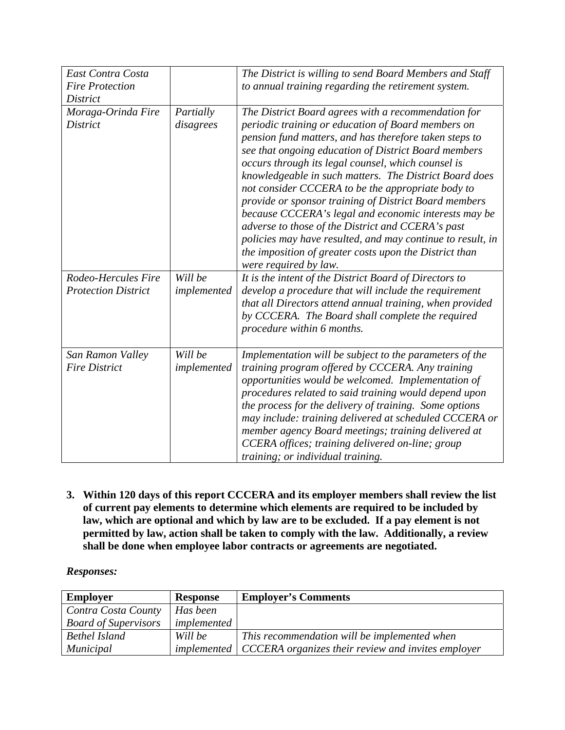| East Contra Costa<br><b>Fire Protection</b><br><b>District</b> |                        | The District is willing to send Board Members and Staff<br>to annual training regarding the retirement system.                                                                                                                                                                                                                                                                                                                                                                                                                                                                                                                                                                                                          |
|----------------------------------------------------------------|------------------------|-------------------------------------------------------------------------------------------------------------------------------------------------------------------------------------------------------------------------------------------------------------------------------------------------------------------------------------------------------------------------------------------------------------------------------------------------------------------------------------------------------------------------------------------------------------------------------------------------------------------------------------------------------------------------------------------------------------------------|
| Moraga-Orinda Fire<br><i>District</i>                          | Partially<br>disagrees | The District Board agrees with a recommendation for<br>periodic training or education of Board members on<br>pension fund matters, and has therefore taken steps to<br>see that ongoing education of District Board members<br>occurs through its legal counsel, which counsel is<br>knowledgeable in such matters. The District Board does<br>not consider CCCERA to be the appropriate body to<br>provide or sponsor training of District Board members<br>because CCCERA's legal and economic interests may be<br>adverse to those of the District and CCERA's past<br>policies may have resulted, and may continue to result, in<br>the imposition of greater costs upon the District than<br>were required by law. |
| Rodeo-Hercules Fire<br><b>Protection District</b>              | Will be<br>implemented | It is the intent of the District Board of Directors to<br>develop a procedure that will include the requirement<br>that all Directors attend annual training, when provided<br>by CCCERA. The Board shall complete the required<br>procedure within 6 months.                                                                                                                                                                                                                                                                                                                                                                                                                                                           |
| San Ramon Valley<br><b>Fire District</b>                       | Will be<br>implemented | Implementation will be subject to the parameters of the<br>training program offered by CCCERA. Any training<br>opportunities would be welcomed. Implementation of<br>procedures related to said training would depend upon<br>the process for the delivery of training. Some options<br>may include: training delivered at scheduled CCCERA or<br>member agency Board meetings; training delivered at<br>CCERA offices; training delivered on-line; group<br>training; or individual training.                                                                                                                                                                                                                          |

**3. Within 120 days of this report CCCERA and its employer members shall review the list of current pay elements to determine which elements are required to be included by law, which are optional and which by law are to be excluded. If a pay element is not permitted by law, action shall be taken to comply with the law. Additionally, a review shall be done when employee labor contracts or agreements are negotiated.** 

| <b>Employer</b>             | <b>Response</b>    | <b>Employer's Comments</b>                                       |
|-----------------------------|--------------------|------------------------------------------------------------------|
| Contra Costa County         | Has been           |                                                                  |
| <b>Board of Supervisors</b> | <i>implemented</i> |                                                                  |
| <b>Bethel Island</b>        | Will be            | This recommendation will be implemented when                     |
| <i>Municipal</i>            |                    | implemented   CCCERA organizes their review and invites employer |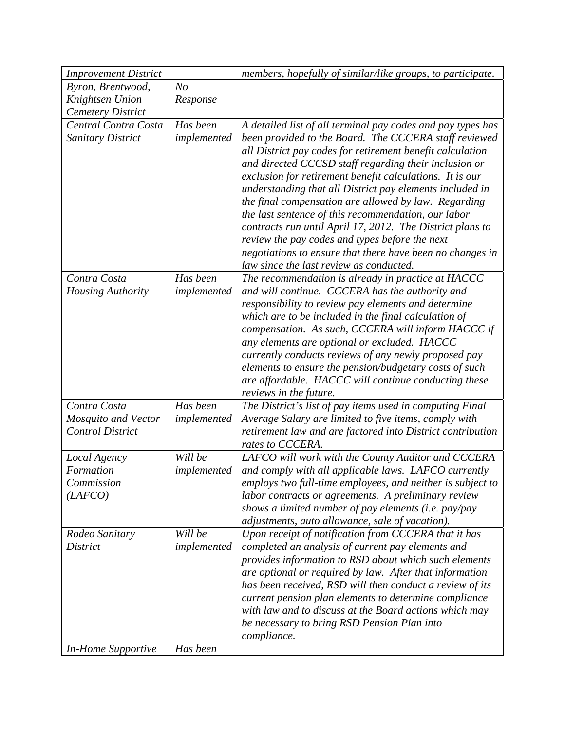| <b>Improvement District</b> |                | members, hopefully of similar/like groups, to participate.                                                        |
|-----------------------------|----------------|-------------------------------------------------------------------------------------------------------------------|
| Byron, Brentwood,           | N <sub>O</sub> |                                                                                                                   |
| Knightsen Union             | Response       |                                                                                                                   |
| <b>Cemetery District</b>    |                |                                                                                                                   |
| Central Contra Costa        | Has been       | A detailed list of all terminal pay codes and pay types has                                                       |
| <b>Sanitary District</b>    | implemented    | been provided to the Board. The CCCERA staff reviewed                                                             |
|                             |                | all District pay codes for retirement benefit calculation                                                         |
|                             |                | and directed CCCSD staff regarding their inclusion or                                                             |
|                             |                | exclusion for retirement benefit calculations. It is our                                                          |
|                             |                | understanding that all District pay elements included in                                                          |
|                             |                | the final compensation are allowed by law. Regarding                                                              |
|                             |                | the last sentence of this recommendation, our labor                                                               |
|                             |                | contracts run until April 17, 2012. The District plans to<br>review the pay codes and types before the next       |
|                             |                | negotiations to ensure that there have been no changes in                                                         |
|                             |                | law since the last review as conducted.                                                                           |
| Contra Costa                | Has been       | The recommendation is already in practice at HACCC                                                                |
| <b>Housing Authority</b>    | implemented    | and will continue. CCCERA has the authority and                                                                   |
|                             |                | responsibility to review pay elements and determine                                                               |
|                             |                | which are to be included in the final calculation of                                                              |
|                             |                | compensation. As such, CCCERA will inform HACCC if                                                                |
|                             |                | any elements are optional or excluded. HACCC                                                                      |
|                             |                | currently conducts reviews of any newly proposed pay                                                              |
|                             |                | elements to ensure the pension/budgetary costs of such                                                            |
|                             |                | are affordable. HACCC will continue conducting these                                                              |
| Contra Costa                | Has been       | reviews in the future.                                                                                            |
| <b>Mosquito and Vector</b>  | implemented    | The District's list of pay items used in computing Final<br>Average Salary are limited to five items, comply with |
| <b>Control District</b>     |                | retirement law and are factored into District contribution                                                        |
|                             |                | rates to CCCERA.                                                                                                  |
| Local Agency                | Will be        | LAFCO will work with the County Auditor and CCCERA                                                                |
| Formation                   | implemented    | and comply with all applicable laws. LAFCO currently                                                              |
| Commission                  |                | employs two full-time employees, and neither is subject to                                                        |
| (LAFCO)                     |                | labor contracts or agreements. A preliminary review                                                               |
|                             |                | shows a limited number of pay elements (i.e. pay/pay                                                              |
|                             |                | adjustments, auto allowance, sale of vacation).                                                                   |
| Rodeo Sanitary              | Will be        | Upon receipt of notification from CCCERA that it has                                                              |
| District                    | implemented    | completed an analysis of current pay elements and                                                                 |
|                             |                | provides information to RSD about which such elements                                                             |
|                             |                | are optional or required by law. After that information                                                           |
|                             |                | has been received, RSD will then conduct a review of its                                                          |
|                             |                | current pension plan elements to determine compliance                                                             |
|                             |                | with law and to discuss at the Board actions which may                                                            |
|                             |                | be necessary to bring RSD Pension Plan into<br>compliance.                                                        |
| <b>In-Home Supportive</b>   | Has been       |                                                                                                                   |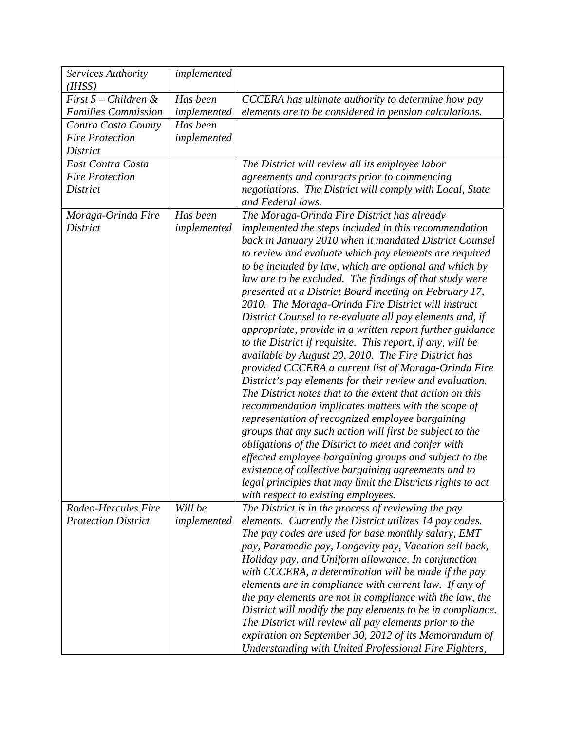| Services Authority         | implemented |                                                                                                                       |
|----------------------------|-------------|-----------------------------------------------------------------------------------------------------------------------|
| (H <sub>ISS</sub> )        |             |                                                                                                                       |
| First $5$ – Children &     | Has been    | CCCERA has ultimate authority to determine how pay                                                                    |
| <b>Families Commission</b> | implemented | elements are to be considered in pension calculations.                                                                |
| Contra Costa County        | Has been    |                                                                                                                       |
| <b>Fire Protection</b>     | implemented |                                                                                                                       |
| <i>District</i>            |             |                                                                                                                       |
| East Contra Costa          |             | The District will review all its employee labor                                                                       |
| <b>Fire Protection</b>     |             | agreements and contracts prior to commencing                                                                          |
| <b>District</b>            |             | negotiations. The District will comply with Local, State                                                              |
|                            |             | and Federal laws.                                                                                                     |
| Moraga-Orinda Fire         | Has been    | The Moraga-Orinda Fire District has already                                                                           |
| <b>District</b>            | implemented | implemented the steps included in this recommendation                                                                 |
|                            |             | back in January 2010 when it mandated District Counsel                                                                |
|                            |             | to review and evaluate which pay elements are required                                                                |
|                            |             | to be included by law, which are optional and which by                                                                |
|                            |             | law are to be excluded. The findings of that study were                                                               |
|                            |             | presented at a District Board meeting on February 17,                                                                 |
|                            |             | 2010. The Moraga-Orinda Fire District will instruct                                                                   |
|                            |             | District Counsel to re-evaluate all pay elements and, if                                                              |
|                            |             | appropriate, provide in a written report further guidance                                                             |
|                            |             | to the District if requisite. This report, if any, will be                                                            |
|                            |             | available by August 20, 2010. The Fire District has                                                                   |
|                            |             | provided CCCERA a current list of Moraga-Orinda Fire                                                                  |
|                            |             | District's pay elements for their review and evaluation.<br>The District notes that to the extent that action on this |
|                            |             |                                                                                                                       |
|                            |             | recommendation implicates matters with the scope of                                                                   |
|                            |             | representation of recognized employee bargaining<br>groups that any such action will first be subject to the          |
|                            |             | obligations of the District to meet and confer with                                                                   |
|                            |             | effected employee bargaining groups and subject to the                                                                |
|                            |             | existence of collective bargaining agreements and to                                                                  |
|                            |             | legal principles that may limit the Districts rights to act                                                           |
|                            |             | with respect to existing employees.                                                                                   |
| Rodeo-Hercules Fire        | Will be     | The District is in the process of reviewing the pay                                                                   |
| <b>Protection District</b> | implemented | elements. Currently the District utilizes 14 pay codes.                                                               |
|                            |             | The pay codes are used for base monthly salary, EMT                                                                   |
|                            |             | pay, Paramedic pay, Longevity pay, Vacation sell back,                                                                |
|                            |             | Holiday pay, and Uniform allowance. In conjunction                                                                    |
|                            |             | with CCCERA, a determination will be made if the pay                                                                  |
|                            |             | elements are in compliance with current law. If any of                                                                |
|                            |             | the pay elements are not in compliance with the law, the                                                              |
|                            |             | District will modify the pay elements to be in compliance.                                                            |
|                            |             | The District will review all pay elements prior to the                                                                |
|                            |             | expiration on September 30, 2012 of its Memorandum of                                                                 |
|                            |             | Understanding with United Professional Fire Fighters,                                                                 |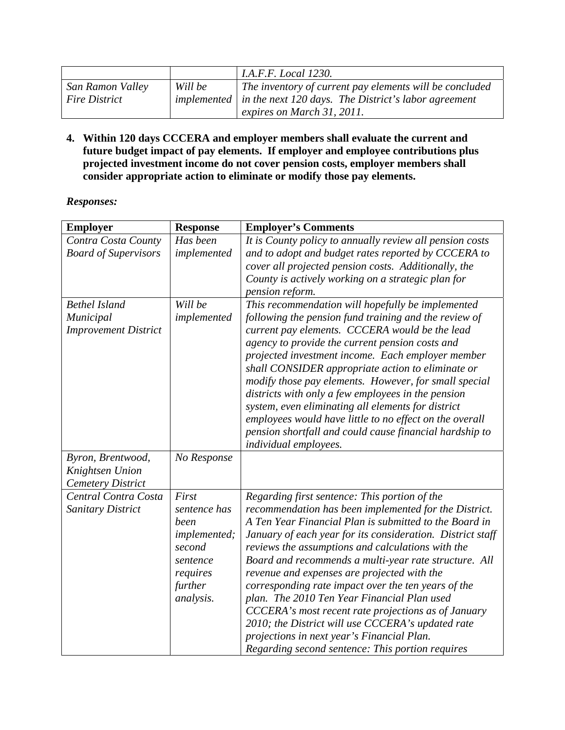|                      |         | <i>LA.F.F. Local 1230.</i>                                               |
|----------------------|---------|--------------------------------------------------------------------------|
| San Ramon Valley     | Will be | The inventory of current pay elements will be concluded                  |
| <i>Fire District</i> |         | implemented $\vert$ in the next 120 days. The District's labor agreement |
|                      |         | expires on March 31, 2011.                                               |

**4. Within 120 days CCCERA and employer members shall evaluate the current and future budget impact of pay elements. If employer and employee contributions plus projected investment income do not cover pension costs, employer members shall consider appropriate action to eliminate or modify those pay elements.** 

| <b>Employer</b>                             | <b>Response</b> | <b>Employer's Comments</b>                                 |
|---------------------------------------------|-----------------|------------------------------------------------------------|
| Contra Costa County                         | Has been        | It is County policy to annually review all pension costs   |
| <b>Board of Supervisors</b>                 | implemented     | and to adopt and budget rates reported by CCCERA to        |
|                                             |                 | cover all projected pension costs. Additionally, the       |
|                                             |                 | County is actively working on a strategic plan for         |
|                                             |                 | pension reform.                                            |
| <b>Bethel Island</b>                        | Will be         | This recommendation will hopefully be implemented          |
| Municipal                                   | implemented     | following the pension fund training and the review of      |
| <b>Improvement District</b>                 |                 | current pay elements. CCCERA would be the lead             |
|                                             |                 | agency to provide the current pension costs and            |
|                                             |                 | projected investment income. Each employer member          |
|                                             |                 | shall CONSIDER appropriate action to eliminate or          |
|                                             |                 | modify those pay elements. However, for small special      |
|                                             |                 | districts with only a few employees in the pension         |
|                                             |                 | system, even eliminating all elements for district         |
|                                             |                 | employees would have little to no effect on the overall    |
|                                             |                 | pension shortfall and could cause financial hardship to    |
|                                             |                 | individual employees.                                      |
| Byron, Brentwood,                           | No Response     |                                                            |
| Knightsen Union<br><b>Cemetery District</b> |                 |                                                            |
| Central Contra Costa                        | First           | Regarding first sentence: This portion of the              |
| <b>Sanitary District</b>                    | sentence has    | recommendation has been implemented for the District.      |
|                                             | been            | A Ten Year Financial Plan is submitted to the Board in     |
|                                             | implemented;    | January of each year for its consideration. District staff |
|                                             | second          | reviews the assumptions and calculations with the          |
|                                             | sentence        | Board and recommends a multi-year rate structure. All      |
|                                             | requires        | revenue and expenses are projected with the                |
|                                             | further         | corresponding rate impact over the ten years of the        |
|                                             | analysis.       | plan. The 2010 Ten Year Financial Plan used                |
|                                             |                 | CCCERA's most recent rate projections as of January        |
|                                             |                 | 2010; the District will use CCCERA's updated rate          |
|                                             |                 | projections in next year's Financial Plan.                 |
|                                             |                 | Regarding second sentence: This portion requires           |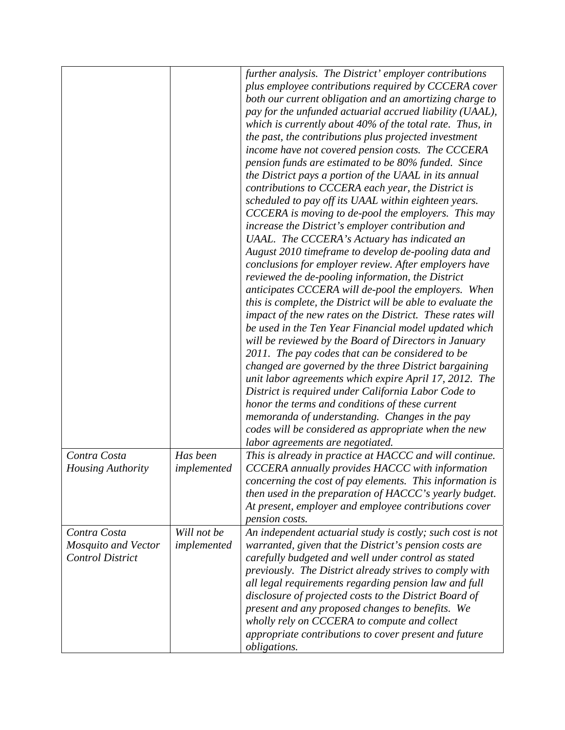|                                                |                         | further analysis. The District' employer contributions<br>plus employee contributions required by CCCERA cover<br>both our current obligation and an amortizing charge to<br>pay for the unfunded actuarial accrued liability (UAAL),<br>which is currently about $40\%$ of the total rate. Thus, in<br>the past, the contributions plus projected investment<br>income have not covered pension costs. The CCCERA<br>pension funds are estimated to be 80% funded. Since<br>the District pays a portion of the UAAL in its annual<br>contributions to CCCERA each year, the District is<br>scheduled to pay off its UAAL within eighteen years.<br>CCCERA is moving to de-pool the employers. This may<br>increase the District's employer contribution and<br>UAAL. The CCCERA's Actuary has indicated an<br>August 2010 timeframe to develop de-pooling data and<br>conclusions for employer review. After employers have<br>reviewed the de-pooling information, the District<br>anticipates CCCERA will de-pool the employers. When<br>this is complete, the District will be able to evaluate the<br>impact of the new rates on the District. These rates will<br>be used in the Ten Year Financial model updated which<br>will be reviewed by the Board of Directors in January<br>2011. The pay codes that can be considered to be<br>changed are governed by the three District bargaining<br>unit labor agreements which expire April 17, 2012. The<br>District is required under California Labor Code to<br>honor the terms and conditions of these current<br>memoranda of understanding. Changes in the pay<br>codes will be considered as appropriate when the new<br>labor agreements are negotiated. |
|------------------------------------------------|-------------------------|-----------------------------------------------------------------------------------------------------------------------------------------------------------------------------------------------------------------------------------------------------------------------------------------------------------------------------------------------------------------------------------------------------------------------------------------------------------------------------------------------------------------------------------------------------------------------------------------------------------------------------------------------------------------------------------------------------------------------------------------------------------------------------------------------------------------------------------------------------------------------------------------------------------------------------------------------------------------------------------------------------------------------------------------------------------------------------------------------------------------------------------------------------------------------------------------------------------------------------------------------------------------------------------------------------------------------------------------------------------------------------------------------------------------------------------------------------------------------------------------------------------------------------------------------------------------------------------------------------------------------------------------------------------------------------------------------------------------------|
| Contra Costa<br><b>Housing Authority</b>       | Has been<br>implemented | This is already in practice at HACCC and will continue.<br>CCCERA annually provides HACCC with information<br>concerning the cost of pay elements. This information is<br>then used in the preparation of HACCC's yearly budget.                                                                                                                                                                                                                                                                                                                                                                                                                                                                                                                                                                                                                                                                                                                                                                                                                                                                                                                                                                                                                                                                                                                                                                                                                                                                                                                                                                                                                                                                                      |
|                                                |                         | At present, employer and employee contributions cover<br><i>pension costs.</i>                                                                                                                                                                                                                                                                                                                                                                                                                                                                                                                                                                                                                                                                                                                                                                                                                                                                                                                                                                                                                                                                                                                                                                                                                                                                                                                                                                                                                                                                                                                                                                                                                                        |
| Contra Costa                                   | Will not be             | An independent actuarial study is costly; such cost is not                                                                                                                                                                                                                                                                                                                                                                                                                                                                                                                                                                                                                                                                                                                                                                                                                                                                                                                                                                                                                                                                                                                                                                                                                                                                                                                                                                                                                                                                                                                                                                                                                                                            |
| Mosquito and Vector<br><b>Control District</b> | implemented             | warranted, given that the District's pension costs are<br>carefully budgeted and well under control as stated<br>previously. The District already strives to comply with<br>all legal requirements regarding pension law and full                                                                                                                                                                                                                                                                                                                                                                                                                                                                                                                                                                                                                                                                                                                                                                                                                                                                                                                                                                                                                                                                                                                                                                                                                                                                                                                                                                                                                                                                                     |
|                                                |                         | disclosure of projected costs to the District Board of<br>present and any proposed changes to benefits. We<br>wholly rely on CCCERA to compute and collect                                                                                                                                                                                                                                                                                                                                                                                                                                                                                                                                                                                                                                                                                                                                                                                                                                                                                                                                                                                                                                                                                                                                                                                                                                                                                                                                                                                                                                                                                                                                                            |
|                                                |                         | appropriate contributions to cover present and future<br><i>obligations.</i>                                                                                                                                                                                                                                                                                                                                                                                                                                                                                                                                                                                                                                                                                                                                                                                                                                                                                                                                                                                                                                                                                                                                                                                                                                                                                                                                                                                                                                                                                                                                                                                                                                          |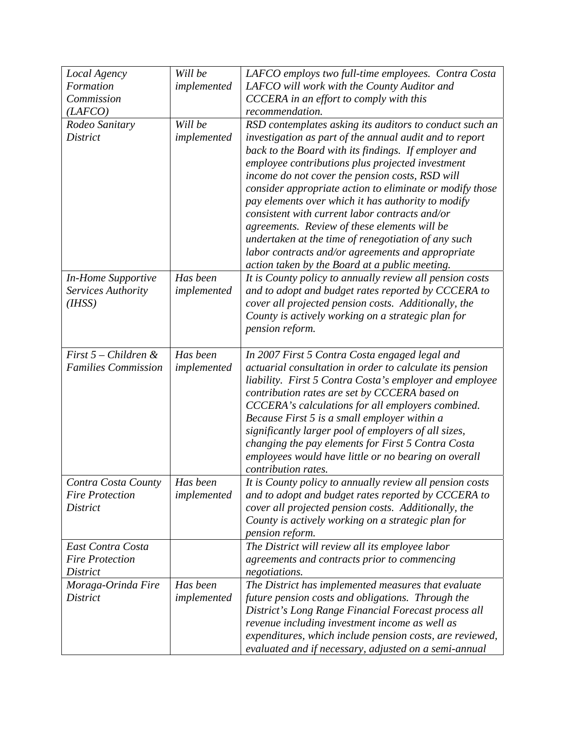| Local Agency               | Will be     | LAFCO employs two full-time employees. Contra Costa      |
|----------------------------|-------------|----------------------------------------------------------|
| Formation                  | implemented | LAFCO will work with the County Auditor and              |
| Commission                 |             | CCCERA in an effort to comply with this                  |
| (LAFCO)                    |             | recommendation.                                          |
| Rodeo Sanitary             | Will be     | RSD contemplates asking its auditors to conduct such an  |
| <b>District</b>            | implemented | investigation as part of the annual audit and to report  |
|                            |             | back to the Board with its findings. If employer and     |
|                            |             | employee contributions plus projected investment         |
|                            |             | income do not cover the pension costs, RSD will          |
|                            |             | consider appropriate action to eliminate or modify those |
|                            |             | pay elements over which it has authority to modify       |
|                            |             | consistent with current labor contracts and/or           |
|                            |             | agreements. Review of these elements will be             |
|                            |             | undertaken at the time of renegotiation of any such      |
|                            |             | labor contracts and/or agreements and appropriate        |
|                            |             | action taken by the Board at a public meeting.           |
| <b>In-Home Supportive</b>  | Has been    | It is County policy to annually review all pension costs |
| Services Authority         | implemented | and to adopt and budget rates reported by CCCERA to      |
| (H <sub>ISS</sub> )        |             | cover all projected pension costs. Additionally, the     |
|                            |             | County is actively working on a strategic plan for       |
|                            |             | pension reform.                                          |
|                            |             |                                                          |
| First $5$ – Children &     | Has been    | In 2007 First 5 Contra Costa engaged legal and           |
| <b>Families Commission</b> | implemented | actuarial consultation in order to calculate its pension |
|                            |             | liability. First 5 Contra Costa's employer and employee  |
|                            |             | contribution rates are set by CCCERA based on            |
|                            |             | CCCERA's calculations for all employers combined.        |
|                            |             | Because First 5 is a small employer within a             |
|                            |             | significantly larger pool of employers of all sizes,     |
|                            |             | changing the pay elements for First 5 Contra Costa       |
|                            |             | employees would have little or no bearing on overall     |
|                            |             | contribution rates.                                      |
| Contra Costa County        | Has been    | It is County policy to annually review all pension costs |
| <b>Fire Protection</b>     | implemented | and to adopt and budget rates reported by CCCERA to      |
| District                   |             | cover all projected pension costs. Additionally, the     |
|                            |             | County is actively working on a strategic plan for       |
|                            |             | pension reform.                                          |
| East Contra Costa          |             | The District will review all its employee labor          |
| <b>Fire Protection</b>     |             | agreements and contracts prior to commencing             |
| District                   |             | negotiations.                                            |
| Moraga-Orinda Fire         | Has been    | The District has implemented measures that evaluate      |
| District                   | implemented | future pension costs and obligations. Through the        |
|                            |             | District's Long Range Financial Forecast process all     |
|                            |             | revenue including investment income as well as           |
|                            |             | expenditures, which include pension costs, are reviewed, |
|                            |             | evaluated and if necessary, adjusted on a semi-annual    |